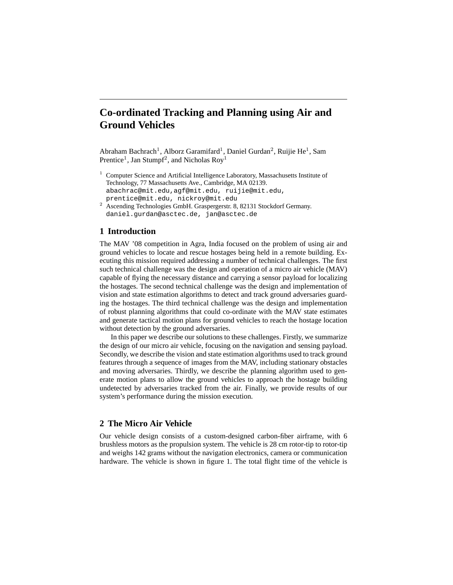# **Co-ordinated Tracking and Planning using Air and Ground Vehicles**

Abraham Bachrach<sup>1</sup>, Alborz Garamifard<sup>1</sup>, Daniel Gurdan<sup>2</sup>, Ruijie He<sup>1</sup>, Sam Prentice<sup>1</sup>, Jan Stumpf<sup>2</sup>, and Nicholas Roy<sup>1</sup>

- <sup>1</sup> Computer Science and Artificial Intelligence Laboratory, Massachusetts Institute of Technology, 77 Massachusetts Ave., Cambridge, MA 02139. abachrac@mit.edu,agf@mit.edu, ruijie@mit.edu, prentice@mit.edu, nickroy@mit.edu
- <sup>2</sup> Ascending Technologies GmbH. Graspergerstr. 8, 82131 Stockdorf Germany. daniel.gurdan@asctec.de, jan@asctec.de

# **1 Introduction**

The MAV '08 competition in Agra, India focused on the problem of using air and ground vehicles to locate and rescue hostages being held in a remote building. Executing this mission required addressing a number of technical challenges. The first such technical challenge was the design and operation of a micro air vehicle (MAV) capable of flying the necessary distance and carrying a sensor payload for localizing the hostages. The second technical challenge was the design and implementation of vision and state estimation algorithms to detect and track ground adversaries guarding the hostages. The third technical challenge was the design and implementation of robust planning algorithms that could co-ordinate with the MAV state estimates and generate tactical motion plans for ground vehicles to reach the hostage location without detection by the ground adversaries.

In this paper we describe our solutions to these challenges. Firstly, we summarize the design of our micro air vehicle, focusing on the navigation and sensing payload. Secondly, we describe the vision and state estimation algorithms used to track ground features through a sequence of images from the MAV, including stationary obstacles and moving adversaries. Thirdly, we describe the planning algorithm used to generate motion plans to allow the ground vehicles to approach the hostage building undetected by adversaries tracked from the air. Finally, we provide results of our system's performance during the mission execution.

# **2 The Micro Air Vehicle**

Our vehicle design consists of a custom-designed carbon-fiber airframe, with 6 brushless motors as the propulsion system. The vehicle is 28 cm rotor-tip to rotor-tip and weighs 142 grams without the navigation electronics, camera or communication hardware. The vehicle is shown in figure 1. The total flight time of the vehicle is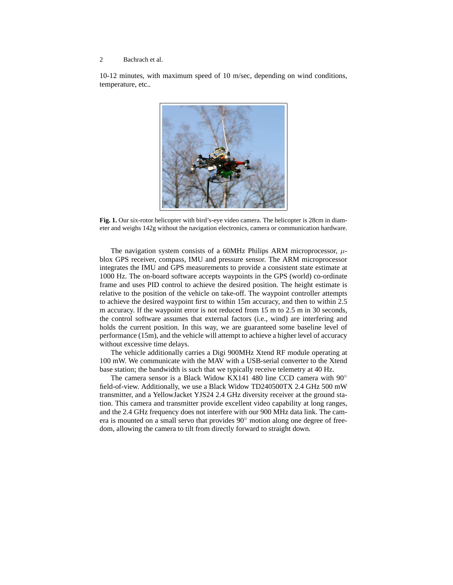10-12 minutes, with maximum speed of 10 m/sec, depending on wind conditions, temperature, etc..



**Fig. 1.** Our six-rotor helicopter with bird's-eye video camera. The helicopter is 28cm in diameter and weighs 142g without the navigation electronics, camera or communication hardware.

The navigation system consists of a 60MHz Philips ARM microprocessor,  $\mu$ blox GPS receiver, compass, IMU and pressure sensor. The ARM microprocessor integrates the IMU and GPS measurements to provide a consistent state estimate at 1000 Hz. The on-board software accepts waypoints in the GPS (world) co-ordinate frame and uses PID control to achieve the desired position. The height estimate is relative to the position of the vehicle on take-off. The waypoint controller attempts to achieve the desired waypoint first to within 15m accuracy, and then to within 2.5 m accuracy. If the waypoint error is not reduced from 15 m to 2.5 m in 30 seconds, the control software assumes that external factors (i.e., wind) are interfering and holds the current position. In this way, we are guaranteed some baseline level of performance (15m), and the vehicle will attempt to achieve a higher level of accuracy without excessive time delays.

The vehicle additionally carries a Digi 900MHz Xtend RF module operating at 100 mW. We communicate with the MAV with a USB-serial converter to the Xtend base station; the bandwidth is such that we typically receive telemetry at 40 Hz.

The camera sensor is a Black Widow KX141 480 line CCD camera with 90◦ field-of-view. Additionally, we use a Black Widow TD240500TX 2.4 GHz 500 mW transmitter, and a YellowJacket YJS24 2.4 GHz diversity receiver at the ground station. This camera and transmitter provide excellent video capability at long ranges, and the 2.4 GHz frequency does not interfere with our 900 MHz data link. The camera is mounted on a small servo that provides 90◦ motion along one degree of freedom, allowing the camera to tilt from directly forward to straight down.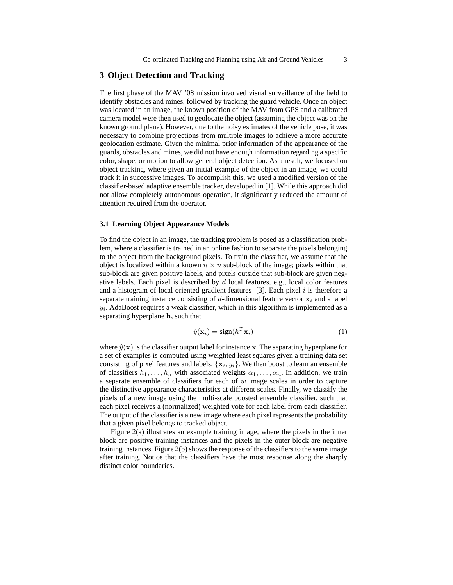# **3 Object Detection and Tracking**

The first phase of the MAV '08 mission involved visual surveillance of the field to identify obstacles and mines, followed by tracking the guard vehicle. Once an object was located in an image, the known position of the MAV from GPS and a calibrated camera model were then used to geolocate the object (assuming the object was on the known ground plane). However, due to the noisy estimates of the vehicle pose, it was necessary to combine projections from multiple images to achieve a more accurate geolocation estimate. Given the minimal prior information of the appearance of the guards, obstacles and mines, we did not have enough information regarding a specific color, shape, or motion to allow general object detection. As a result, we focused on object tracking, where given an initial example of the object in an image, we could track it in successive images. To accomplish this, we used a modified version of the classifier-based adaptive ensemble tracker, developed in [1]. While this approach did not allow completely autonomous operation, it significantly reduced the amount of attention required from the operator.

## **3.1 Learning Object Appearance Models**

To find the object in an image, the tracking problem is posed as a classification problem, where a classifier is trained in an online fashion to separate the pixels belonging to the object from the background pixels. To train the classifier, we assume that the object is localized within a known  $n \times n$  sub-block of the image; pixels within that sub-block are given positive labels, and pixels outside that sub-block are given negative labels. Each pixel is described by  $d$  local features, e.g., local color features and a histogram of local oriented gradient features [3]. Each pixel  $i$  is therefore a separate training instance consisting of d-dimensional feature vector  $x_i$  and a label  $y_i$ . AdaBoost requires a weak classifier, which in this algorithm is implemented as a separating hyperplane h, such that

$$
\hat{y}(\mathbf{x}_i) = \text{sign}(h^T \mathbf{x}_i)
$$
\n(1)

where  $\hat{y}(\mathbf{x})$  is the classifier output label for instance x. The separating hyperplane for a set of examples is computed using weighted least squares given a training data set consisting of pixel features and labels,  $\{x_i, y_i\}$ . We then boost to learn an ensemble of classifiers  $h_1, \ldots, h_n$  with associated weights  $\alpha_1, \ldots, \alpha_n$ . In addition, we train a separate ensemble of classifiers for each of  $w$  image scales in order to capture the distinctive appearance characteristics at different scales. Finally, we classify the pixels of a new image using the multi-scale boosted ensemble classifier, such that each pixel receives a (normalized) weighted vote for each label from each classifier. The output of the classifier is a new image where each pixel represents the probability that a given pixel belongs to tracked object.

Figure 2(a) illustrates an example training image, where the pixels in the inner block are positive training instances and the pixels in the outer block are negative training instances. Figure 2(b) shows the response of the classifiers to the same image after training. Notice that the classifiers have the most response along the sharply distinct color boundaries.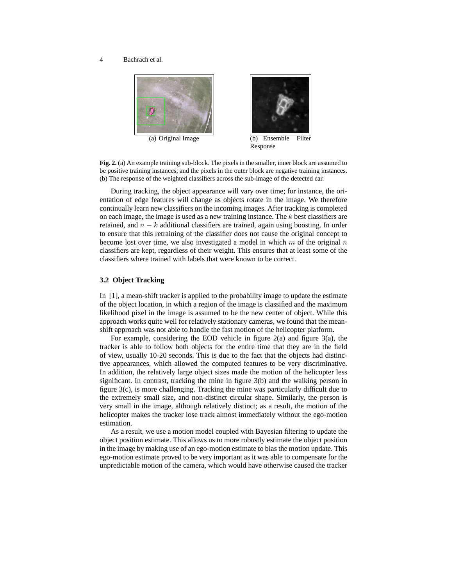

**Fig. 2.** (a) An example training sub-block. The pixels in the smaller, inner block are assumed to be positive training instances, and the pixels in the outer block are negative training instances. (b) The response of the weighted classifiers across the sub-image of the detected car.

During tracking, the object appearance will vary over time; for instance, the orientation of edge features will change as objects rotate in the image. We therefore continually learn new classifiers on the incoming images. After tracking is completed on each image, the image is used as a new training instance. The  $k$  best classifiers are retained, and  $n - k$  additional classifiers are trained, again using boosting. In order to ensure that this retraining of the classifier does not cause the original concept to become lost over time, we also investigated a model in which  $m$  of the original  $n$ classifiers are kept, regardless of their weight. This ensures that at least some of the classifiers where trained with labels that were known to be correct.

## **3.2 Object Tracking**

In [1], a mean-shift tracker is applied to the probability image to update the estimate of the object location, in which a region of the image is classified and the maximum likelihood pixel in the image is assumed to be the new center of object. While this approach works quite well for relatively stationary cameras, we found that the meanshift approach was not able to handle the fast motion of the helicopter platform.

For example, considering the EOD vehicle in figure 2(a) and figure 3(a), the tracker is able to follow both objects for the entire time that they are in the field of view, usually 10-20 seconds. This is due to the fact that the objects had distinctive appearances, which allowed the computed features to be very discriminative. In addition, the relatively large object sizes made the motion of the helicopter less significant. In contrast, tracking the mine in figure 3(b) and the walking person in figure 3(c), is more challenging. Tracking the mine was particularly difficult due to the extremely small size, and non-distinct circular shape. Similarly, the person is very small in the image, although relatively distinct; as a result, the motion of the helicopter makes the tracker lose track almost immediately without the ego-motion estimation.

As a result, we use a motion model coupled with Bayesian filtering to update the object position estimate. This allows us to more robustly estimate the object position in the image by making use of an ego-motion estimate to bias the motion update. This ego-motion estimate proved to be very important as it was able to compensate for the unpredictable motion of the camera, which would have otherwise caused the tracker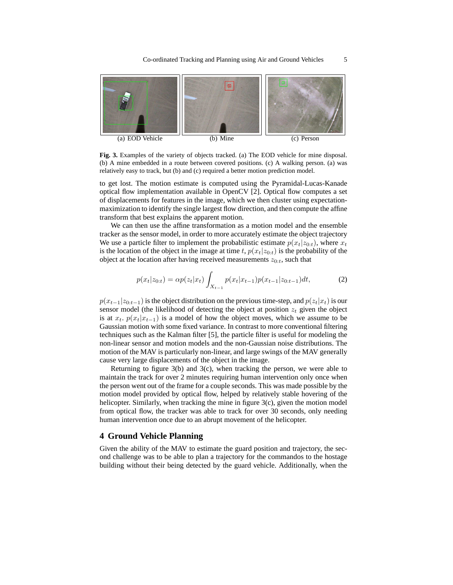

**Fig. 3.** Examples of the variety of objects tracked. (a) The EOD vehicle for mine disposal. (b) A mine embedded in a route between covered positions. (c) A walking person. (a) was relatively easy to track, but (b) and (c) required a better motion prediction model.

to get lost. The motion estimate is computed using the Pyramidal-Lucas-Kanade optical flow implementation available in OpenCV [2]. Optical flow computes a set of displacements for features in the image, which we then cluster using expectationmaximization to identify the single largest flow direction, and then compute the affine transform that best explains the apparent motion.

We can then use the affine transformation as a motion model and the ensemble tracker as the sensor model, in order to more accurately estimate the object trajectory We use a particle filter to implement the probabilistic estimate  $p(x_t|z_{0:t})$ , where  $x_t$ is the location of the object in the image at time t,  $p(x_t|z_{0:t})$  is the probability of the object at the location after having received measurements  $z_{0:t}$ , such that

$$
p(x_t|z_{0:t}) = \alpha p(z_t|x_t) \int_{X_{t-1}} p(x_t|x_{t-1}) p(x_{t-1}|z_{0:t-1}) dt,
$$
\n(2)

 $p(x_{t-1}|z_{0:t-1})$  is the object distribution on the previous time-step, and  $p(z_t|x_t)$  is our sensor model (the likelihood of detecting the object at position  $z_t$  given the object is at  $x_t$ .  $p(x_t|x_{t-1})$  is a model of how the object moves, which we assume to be Gaussian motion with some fixed variance. In contrast to more conventional filtering techniques such as the Kalman filter [5], the particle filter is useful for modeling the non-linear sensor and motion models and the non-Gaussian noise distributions. The motion of the MAV is particularly non-linear, and large swings of the MAV generally cause very large displacements of the object in the image.

Returning to figure 3(b) and 3(c), when tracking the person, we were able to maintain the track for over 2 minutes requiring human intervention only once when the person went out of the frame for a couple seconds. This was made possible by the motion model provided by optical flow, helped by relatively stable hovering of the helicopter. Similarly, when tracking the mine in figure 3(c), given the motion model from optical flow, the tracker was able to track for over 30 seconds, only needing human intervention once due to an abrupt movement of the helicopter.

## **4 Ground Vehicle Planning**

Given the ability of the MAV to estimate the guard position and trajectory, the second challenge was to be able to plan a trajectory for the commandos to the hostage building without their being detected by the guard vehicle. Additionally, when the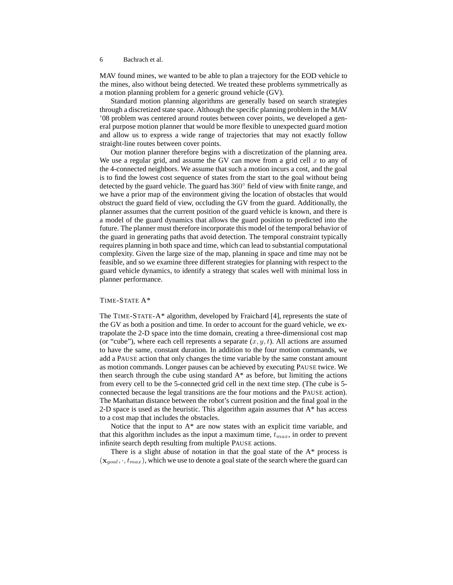MAV found mines, we wanted to be able to plan a trajectory for the EOD vehicle to the mines, also without being detected. We treated these problems symmetrically as a motion planning problem for a generic ground vehicle (GV).

Standard motion planning algorithms are generally based on search strategies through a discretized state space. Although the specific planning problem in the MAV '08 problem was centered around routes between cover points, we developed a general purpose motion planner that would be more flexible to unexpected guard motion and allow us to express a wide range of trajectories that may not exactly follow straight-line routes between cover points.

Our motion planner therefore begins with a discretization of the planning area. We use a regular grid, and assume the GV can move from a grid cell  $x$  to any of the 4-connected neighbors. We assume that such a motion incurs a cost, and the goal is to find the lowest cost sequence of states from the start to the goal without being detected by the guard vehicle. The guard has 360◦ field of view with finite range, and we have a prior map of the environment giving the location of obstacles that would obstruct the guard field of view, occluding the GV from the guard. Additionally, the planner assumes that the current position of the guard vehicle is known, and there is a model of the guard dynamics that allows the guard position to predicted into the future. The planner must therefore incorporate this model of the temporal behavior of the guard in generating paths that avoid detection. The temporal constraint typically requires planning in both space and time, which can lead to substantial computational complexity. Given the large size of the map, planning in space and time may not be feasible, and so we examine three different strategies for planning with respect to the guard vehicle dynamics, to identify a strategy that scales well with minimal loss in planner performance.

## TIME-STATE A\*

The TIME-STATE-A\* algorithm, developed by Fraichard [4], represents the state of the GV as both a position and time. In order to account for the guard vehicle, we extrapolate the 2-D space into the time domain, creating a three-dimensional cost map (or "cube"), where each cell represents a separate  $(x, y, t)$ . All actions are assumed to have the same, constant duration. In addition to the four motion commands, we add a PAUSE action that only changes the time variable by the same constant amount as motion commands. Longer pauses can be achieved by executing PAUSE twice. We then search through the cube using standard  $A^*$  as before, but limiting the actions from every cell to be the 5-connected grid cell in the next time step. (The cube is 5 connected because the legal transitions are the four motions and the PAUSE action). The Manhattan distance between the robot's current position and the final goal in the 2-D space is used as the heuristic. This algorithm again assumes that  $A^*$  has access to a cost map that includes the obstacles.

Notice that the input to A\* are now states with an explicit time variable, and that this algorithm includes as the input a maximum time,  $t_{max}$ , in order to prevent infinite search depth resulting from multiple PAUSE actions.

There is a slight abuse of notation in that the goal state of the  $A^*$  process is  $(\mathbf{x}_{goal}, \cdot, t_{max})$ , which we use to denote a goal state of the search where the guard can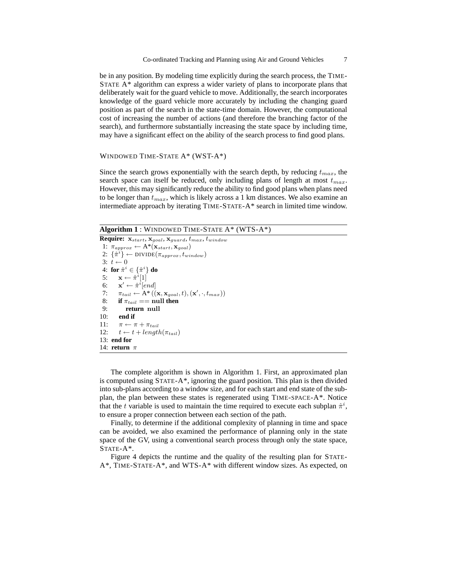be in any position. By modeling time explicitly during the search process, the TIME-STATE A\* algorithm can express a wider variety of plans to incorporate plans that deliberately wait for the guard vehicle to move. Additionally, the search incorporates knowledge of the guard vehicle more accurately by including the changing guard position as part of the search in the state-time domain. However, the computational cost of increasing the number of actions (and therefore the branching factor of the search), and furthermore substantially increasing the state space by including time, may have a significant effect on the ability of the search process to find good plans.

#### WINDOWED TIME-STATE A\* (WST-A\*)

Since the search grows exponentially with the search depth, by reducing  $t_{max}$ , the search space can itself be reduced, only including plans of length at most  $t_{max}$ . However, this may significantly reduce the ability to find good plans when plans need to be longer than  $t_{max}$ , which is likely across a 1 km distances. We also examine an intermediate approach by iterating TIME-STATE-A\* search in limited time window.

**Algorithm 1** : WINDOWED TIME-STATE A\* (WTS-A\*)

```
Require: \mathbf{x}_{start}, \mathbf{x}_{goal}, \mathbf{x}_{guard}, t_{max}, t_{window}1: \pi_{approx} \leftarrow A^*(\mathbf{x}_{start}, \mathbf{x}_{goal})2: \{\hat{\pi}^i\} \leftarrow \text{DIVIDE}(\pi_{approx}, t_{window})3: t \leftarrow 04: for \hat{\pi}^i \in \{\hat{\pi}^i\} do
  5: \mathbf{x} \leftarrow \hat{\pi}^i[1]6: \mathbf{x}' \leftarrow \hat{\pi}^i[end]7: \pi_{tail} \leftarrow \mathbf{A}^*(\mathbf{x}, \mathbf{x}_{goal}, t), (\mathbf{x}', \cdot, t_{max})8: if \pi_{tail} == \text{null} then<br>9: return null
                 9: return null
10: end if
11: \pi \leftarrow \pi + \pi_{tail}12: t \leftarrow t + length(\pi_{tail})13: end for
14: return π
```
The complete algorithm is shown in Algorithm 1. First, an approximated plan is computed using STATE-A\*, ignoring the guard position. This plan is then divided into sub-plans according to a window size, and for each start and end state of the subplan, the plan between these states is regenerated using TIME-SPACE-A\*. Notice that the t variable is used to maintain the time required to execute each subplan  $\hat{\pi}^i$ , to ensure a proper connection between each section of the path.

Finally, to determine if the additional complexity of planning in time and space can be avoided, we also examined the performance of planning only in the state space of the GV, using a conventional search process through only the state space, STATE-A\*.

Figure 4 depicts the runtime and the quality of the resulting plan for STATE- $A^*$ , TIME-STATE- $A^*$ , and WTS- $A^*$  with different window sizes. As expected, on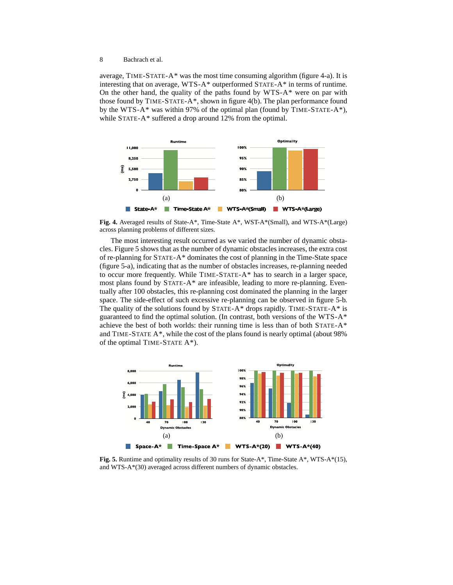average, TIME-STATE-A\* was the most time consuming algorithm (figure 4-a). It is interesting that on average, WTS-A\* outperformed STATE-A\* in terms of runtime. On the other hand, the quality of the paths found by WTS-A\* were on par with those found by TIME-STATE-A\*, shown in figure 4(b). The plan performance found by the WTS-A\* was within 97% of the optimal plan (found by TIME-STATE-A\*), while STATE-A\* suffered a drop around 12% from the optimal.



**Fig. 4.** Averaged results of State-A\*, Time-State A\*, WST-A\*(Small), and WTS-A\*(Large) across planning problems of different sizes.

The most interesting result occurred as we varied the number of dynamic obstacles. Figure 5 shows that as the number of dynamic obstacles increases, the extra cost of re-planning for STATE-A\* dominates the cost of planning in the Time-State space (figure 5-a), indicating that as the number of obstacles increases, re-planning needed to occur more frequently. While TIME-STATE-A\* has to search in a larger space, most plans found by STATE-A\* are infeasible, leading to more re-planning. Eventually after 100 obstacles, this re-planning cost dominated the planning in the larger space. The side-effect of such excessive re-planning can be observed in figure 5-b. The quality of the solutions found by STATE-A\* drops rapidly. TIME-STATE-A\* is guaranteed to find the optimal solution. (In contrast, both versions of the WTS-A\* achieve the best of both worlds: their running time is less than of both  $STATE-A^*$ and TIME-STATE A\*, while the cost of the plans found is nearly optimal (about 98% of the optimal TIME-STATE A\*).



**Fig. 5.** Runtime and optimality results of 30 runs for State-A\*, Time-State A\*, WTS-A\*(15), and WTS-A\*(30) averaged across different numbers of dynamic obstacles.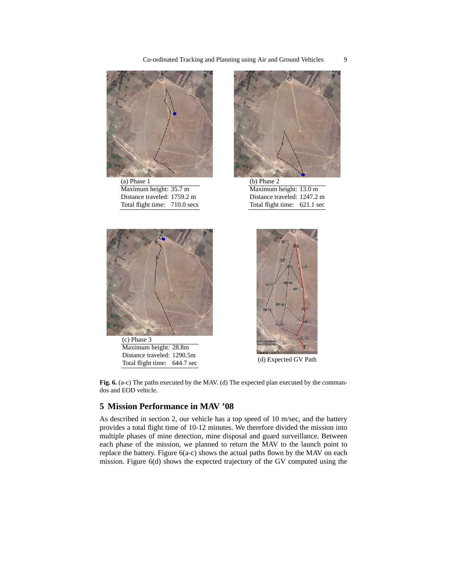

(a) Phase 1 Maximum height: 35.7 m Distance traveled: 1759.2 m Total flight time: 710.0 secs



(c) Phase 3 Maximum height: 28.8m Distance traveled: 1290.5m Distance traveled. 1250.511<br>Total flight time: 644.7 sec (d) Expected GV Path



(b) Phase 2 Maximum height: 13.0 m Distance traveled: 1247.2 m Total flight time: 621.1 sec



**Fig. 6.** (a-c) The paths executed by the MAV. (d) The expected plan executed by the commandos and EOD vehicle.

# **5 Mission Performance in MAV '08**

As described in section 2, our vehicle has a top speed of 10 m/sec, and the battery provides a total flight time of 10-12 minutes. We therefore divided the mission into multiple phases of mine detection, mine disposal and guard surveillance. Between each phase of the mission, we planned to return the MAV to the launch point to replace the battery. Figure 6(a-c) shows the actual paths flown by the MAV on each mission. Figure 6(d) shows the expected trajectory of the GV computed using the